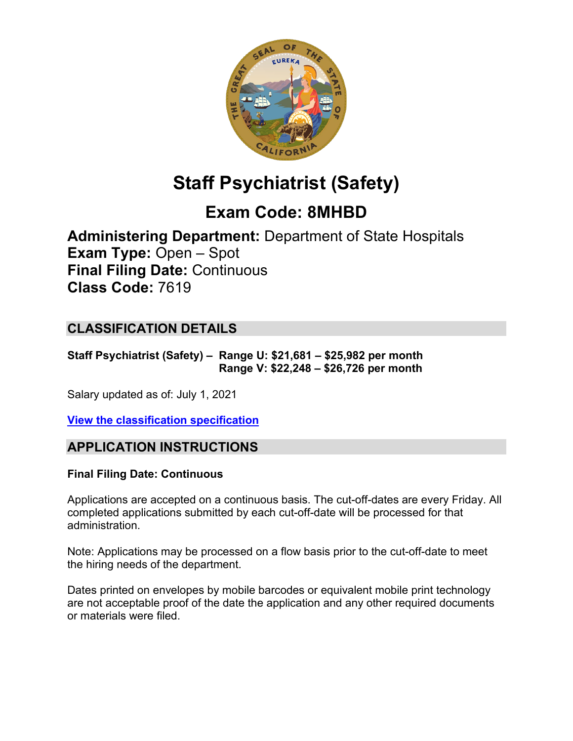

# **Staff Psychiatrist (Safety)**

## **Exam Code: 8MHBD**

**Administering Department:** Department of State Hospitals **Exam Type:** Open – Spot **Final Filing Date:** Continuous **Class Code:** 7619

### **CLASSIFICATION DETAILS**

**Staff Psychiatrist (Safety) – Range U: \$21,681 – \$25,982 per month Range V: \$22,248 – \$26,726 per month**

Salary updated as of: July 1, 2021

**View the [classification specification](https://hrnet.calhr.ca.gov/CalHRNet/SpecCrossReference.aspx?ClassID=7619)**

### **APPLICATION INSTRUCTIONS**

#### **Final Filing Date: Continuous**

Applications are accepted on a continuous basis. The cut-off-dates are every Friday. All completed applications submitted by each cut-off-date will be processed for that administration.

Note: Applications may be processed on a flow basis prior to the cut-off-date to meet the hiring needs of the department.

Dates printed on envelopes by mobile barcodes or equivalent mobile print technology are not acceptable proof of the date the application and any other required documents or materials were filed.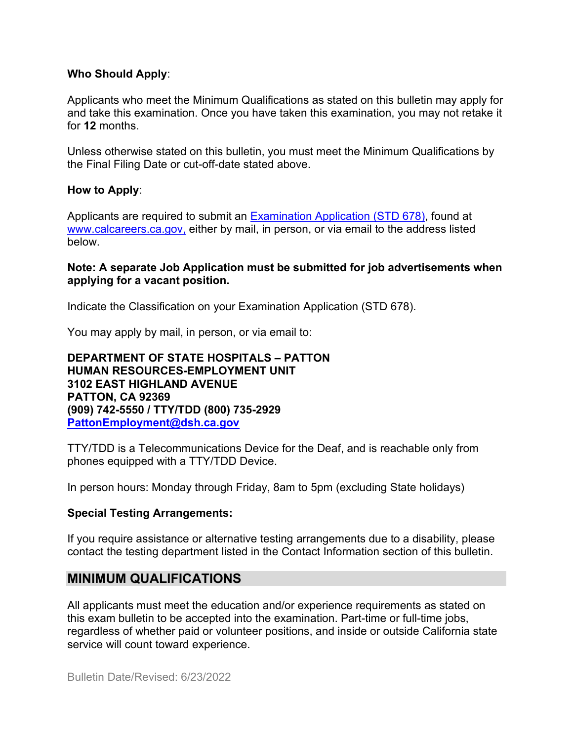#### **Who Should Apply**:

Applicants who meet the Minimum Qualifications as stated on this bulletin may apply for and take this examination. Once you have taken this examination, you may not retake it for **12** months.

Unless otherwise stated on this bulletin, you must meet the Minimum Qualifications by the Final Filing Date or cut-off-date stated above.

#### **How to Apply**:

Applicants are required to submit an [Examination Application \(STD 678\),](https://jobs.ca.gov/pdf/std678.pdf) found at [www.calcareers.ca.gov,](http://www.calcareers.ca.gov/) either by mail, in person, or via email to the address listed below.

#### **Note: A separate Job Application must be submitted for job advertisements when applying for a vacant position.**

Indicate the Classification on your Examination Application (STD 678).

You may apply by mail, in person, or via email to:

**DEPARTMENT OF STATE HOSPITALS – PATTON HUMAN RESOURCES-EMPLOYMENT UNIT 3102 EAST HIGHLAND AVENUE PATTON, CA 92369 (909) 742-5550 / TTY/TDD (800) 735-2929 [PattonEmployment@dsh.ca.gov](mailto:PattonEmployment@dsh.ca.gov)** 

TTY/TDD is a Telecommunications Device for the Deaf, and is reachable only from phones equipped with a TTY/TDD Device.

In person hours: Monday through Friday, 8am to 5pm (excluding State holidays)

#### **Special Testing Arrangements:**

If you require assistance or alternative testing arrangements due to a disability, please contact the testing department listed in the Contact Information section of this bulletin.

### **MINIMUM QUALIFICATIONS**

All applicants must meet the education and/or experience requirements as stated on this exam bulletin to be accepted into the examination. Part-time or full-time jobs, regardless of whether paid or volunteer positions, and inside or outside California state service will count toward experience.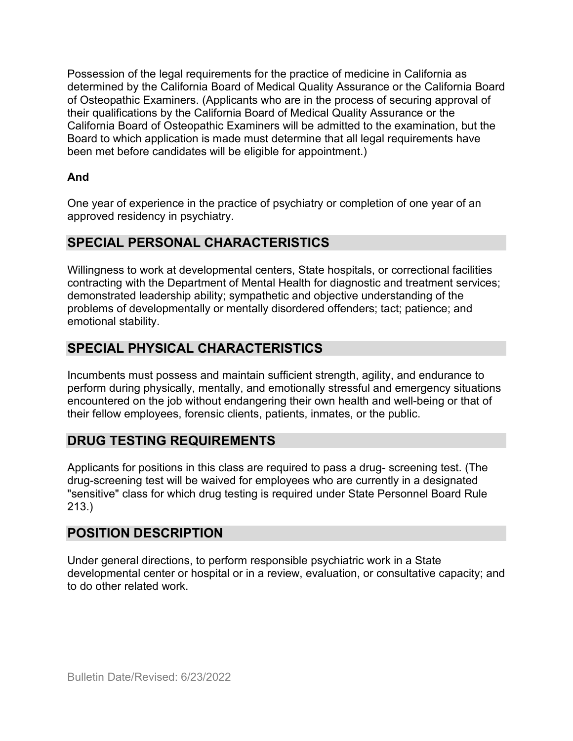Possession of the legal requirements for the practice of medicine in California as determined by the California Board of Medical Quality Assurance or the California Board of Osteopathic Examiners. (Applicants who are in the process of securing approval of their qualifications by the California Board of Medical Quality Assurance or the California Board of Osteopathic Examiners will be admitted to the examination, but the Board to which application is made must determine that all legal requirements have been met before candidates will be eligible for appointment.)

### **And**

One year of experience in the practice of psychiatry or completion of one year of an approved residency in psychiatry.

### **SPECIAL PERSONAL CHARACTERISTICS**

Willingness to work at developmental centers, State hospitals, or correctional facilities contracting with the Department of Mental Health for diagnostic and treatment services; demonstrated leadership ability; sympathetic and objective understanding of the problems of developmentally or mentally disordered offenders; tact; patience; and emotional stability.

### **SPECIAL PHYSICAL CHARACTERISTICS**

Incumbents must possess and maintain sufficient strength, agility, and endurance to perform during physically, mentally, and emotionally stressful and emergency situations encountered on the job without endangering their own health and well-being or that of their fellow employees, forensic clients, patients, inmates, or the public.

### **DRUG TESTING REQUIREMENTS**

Applicants for positions in this class are required to pass a drug- screening test. (The drug-screening test will be waived for employees who are currently in a designated "sensitive" class for which drug testing is required under State Personnel Board Rule 213.)

### **POSITION DESCRIPTION**

Under general directions, to perform responsible psychiatric work in a State developmental center or hospital or in a review, evaluation, or consultative capacity; and to do other related work.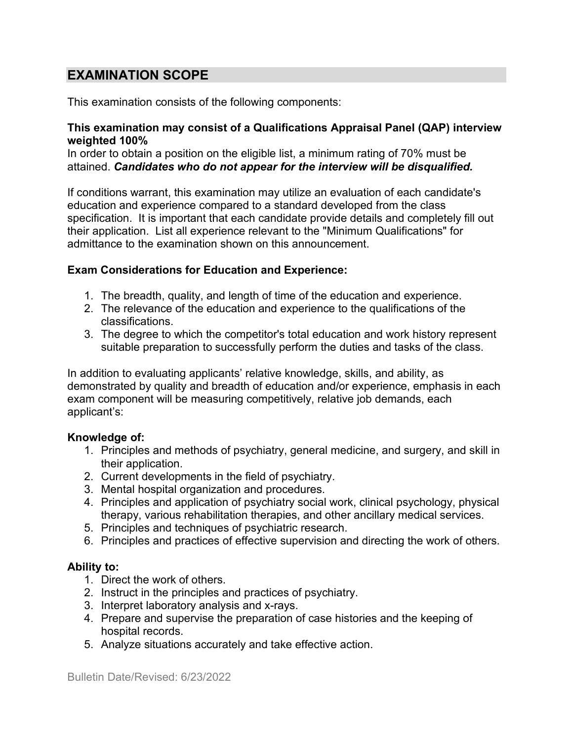### **EXAMINATION SCOPE**

This examination consists of the following components:

#### **This examination may consist of a Qualifications Appraisal Panel (QAP) interview weighted 100%**

In order to obtain a position on the eligible list, a minimum rating of 70% must be attained. *Candidates who do not appear for the interview will be disqualified.*

If conditions warrant, this examination may utilize an evaluation of each candidate's education and experience compared to a standard developed from the class specification. It is important that each candidate provide details and completely fill out their application. List all experience relevant to the "Minimum Qualifications" for admittance to the examination shown on this announcement.

#### **Exam Considerations for Education and Experience:**

- 1. The breadth, quality, and length of time of the education and experience.
- 2. The relevance of the education and experience to the qualifications of the classifications.
- 3. The degree to which the competitor's total education and work history represent suitable preparation to successfully perform the duties and tasks of the class.

In addition to evaluating applicants' relative knowledge, skills, and ability, as demonstrated by quality and breadth of education and/or experience, emphasis in each exam component will be measuring competitively, relative job demands, each applicant's:

#### **Knowledge of:**

- 1. Principles and methods of psychiatry, general medicine, and surgery, and skill in their application.
- 2. Current developments in the field of psychiatry.
- 3. Mental hospital organization and procedures.
- 4. Principles and application of psychiatry social work, clinical psychology, physical therapy, various rehabilitation therapies, and other ancillary medical services.
- 5. Principles and techniques of psychiatric research.
- 6. Principles and practices of effective supervision and directing the work of others.

#### **Ability to:**

- 1. Direct the work of others.
- 2. Instruct in the principles and practices of psychiatry.
- 3. Interpret laboratory analysis and x-rays.
- 4. Prepare and supervise the preparation of case histories and the keeping of hospital records.
- 5. Analyze situations accurately and take effective action.

Bulletin Date/Revised: 6/23/2022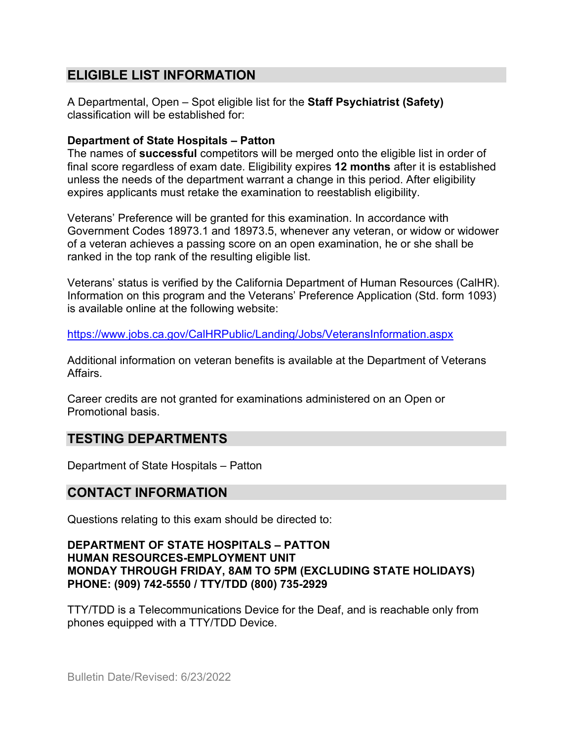### **ELIGIBLE LIST INFORMATION**

A Departmental, Open – Spot eligible list for the **Staff Psychiatrist (Safety)** classification will be established for:

#### **Department of State Hospitals – Patton**

The names of **successful** competitors will be merged onto the eligible list in order of final score regardless of exam date. Eligibility expires **12 months** after it is established unless the needs of the department warrant a change in this period. After eligibility expires applicants must retake the examination to reestablish eligibility.

Veterans' Preference will be granted for this examination. In accordance with Government Codes 18973.1 and 18973.5, whenever any veteran, or widow or widower of a veteran achieves a passing score on an open examination, he or she shall be ranked in the top rank of the resulting eligible list.

Veterans' status is verified by the California Department of Human Resources (CalHR). Information on this program and the Veterans' Preference Application (Std. form 1093) is available online at the following website:

<https://www.jobs.ca.gov/CalHRPublic/Landing/Jobs/VeteransInformation.aspx>

Additional information on veteran benefits is available at the Department of Veterans Affairs.

Career credits are not granted for examinations administered on an Open or Promotional basis.

### **TESTING DEPARTMENTS**

Department of State Hospitals – Patton

### **CONTACT INFORMATION**

Questions relating to this exam should be directed to:

#### **DEPARTMENT OF STATE HOSPITALS – PATTON HUMAN RESOURCES-EMPLOYMENT UNIT MONDAY THROUGH FRIDAY, 8AM TO 5PM (EXCLUDING STATE HOLIDAYS) PHONE: (909) 742-5550 / TTY/TDD (800) 735-2929**

TTY/TDD is a Telecommunications Device for the Deaf, and is reachable only from phones equipped with a TTY/TDD Device.

Bulletin Date/Revised: 6/23/2022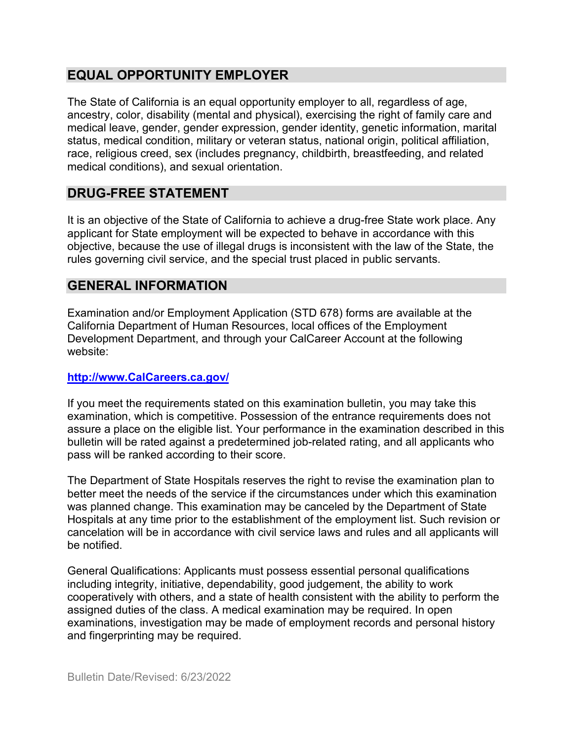### **EQUAL OPPORTUNITY EMPLOYER**

The State of California is an equal opportunity employer to all, regardless of age, ancestry, color, disability (mental and physical), exercising the right of family care and medical leave, gender, gender expression, gender identity, genetic information, marital status, medical condition, military or veteran status, national origin, political affiliation, race, religious creed, sex (includes pregnancy, childbirth, breastfeeding, and related medical conditions), and sexual orientation.

### **DRUG-FREE STATEMENT**

It is an objective of the State of California to achieve a drug-free State work place. Any applicant for State employment will be expected to behave in accordance with this objective, because the use of illegal drugs is inconsistent with the law of the State, the rules governing civil service, and the special trust placed in public servants.

### **GENERAL INFORMATION**

Examination and/or Employment Application (STD 678) forms are available at the California Department of Human Resources, local offices of the Employment Development Department, and through your CalCareer Account at the following website:

### **http://www.CalCareers.ca.gov/**

If you meet the requirements stated on this examination bulletin, you may take this examination, which is competitive. Possession of the entrance requirements does not assure a place on the eligible list. Your performance in the examination described in this bulletin will be rated against a predetermined job-related rating, and all applicants who pass will be ranked according to their score.

The Department of State Hospitals reserves the right to revise the examination plan to better meet the needs of the service if the circumstances under which this examination was planned change. This examination may be canceled by the Department of State Hospitals at any time prior to the establishment of the employment list. Such revision or cancelation will be in accordance with civil service laws and rules and all applicants will be notified.

General Qualifications: Applicants must possess essential personal qualifications including integrity, initiative, dependability, good judgement, the ability to work cooperatively with others, and a state of health consistent with the ability to perform the assigned duties of the class. A medical examination may be required. In open examinations, investigation may be made of employment records and personal history and fingerprinting may be required.